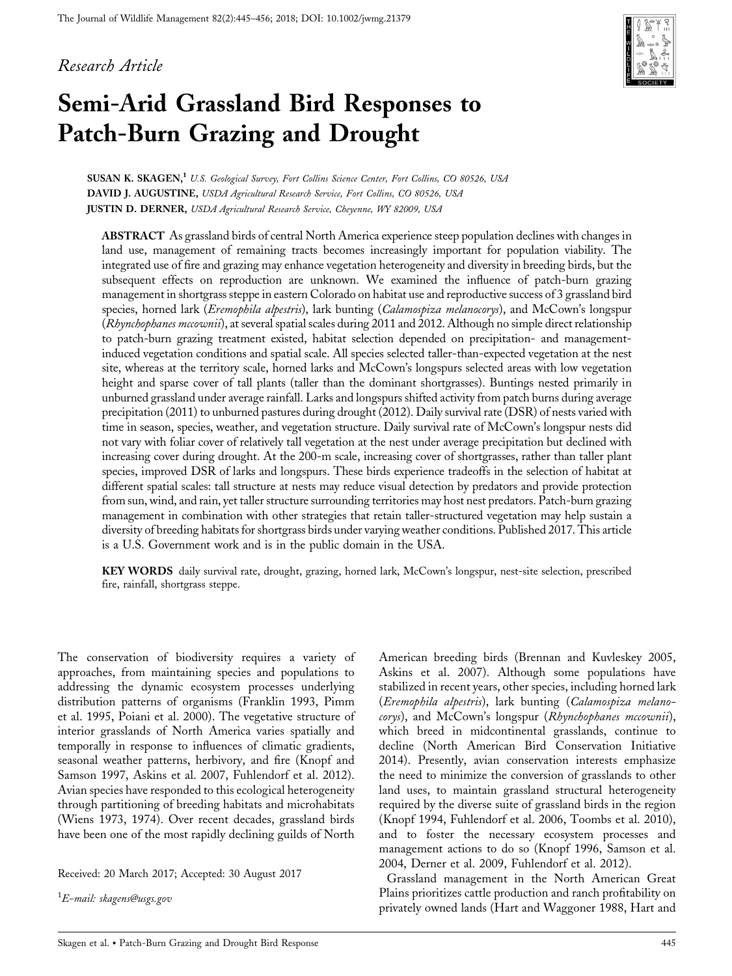# *Research Article*

# **Semi-Arid Grassland Bird Responses to Patch-Burn Grazing and Drought**

**SUSAN K. SKAGEN,1** *U.S. Geological Survey, Fort Collins Science Center, Fort Collins, CO 80526, USA* **DAVID J. AUGUSTINE,** *USDA Agricultural Research Service, Fort Collins, CO 80526, USA* **JUSTIN D. DERNER,** *USDA Agricultural Research Service, Cheyenne, WY 82009, USA*

**ABSTRACT** As grassland birds of central North America experience steep population declines with changes in land use, management of remaining tracts becomes increasingly important for population viability. The integrated use of fire and grazing may enhance vegetation heterogeneity and diversity in breeding birds, but the subsequent effects on reproduction are unknown. We examined the influence of patch-burn grazing management in shortgrass steppe in eastern Colorado on habitat use and reproductive success of 3 grassland bird species, horned lark (*Eremophila alpestris*), lark bunting (*Calamospiza melanocorys*), and McCown's longspur (*Rhynchophanes mccownii*), at several spatial scales during 2011 and 2012. Although no simple direct relationship to patch-burn grazing treatment existed, habitat selection depended on precipitation- and managementinduced vegetation conditions and spatial scale. All species selected taller-than-expected vegetation at the nest site, whereas at the territory scale, horned larks and McCown's longspurs selected areas with low vegetation height and sparse cover of tall plants (taller than the dominant shortgrasses). Buntings nested primarily in unburned grassland under average rainfall. Larks and longspurs shifted activity from patch burns during average precipitation (2011) to unburned pastures during drought (2012). Daily survival rate (DSR) of nests varied with time in season, species, weather, and vegetation structure. Daily survival rate of McCown's longspur nests did not vary with foliar cover of relatively tall vegetation at the nest under average precipitation but declined with increasing cover during drought. At the 200-m scale, increasing cover of shortgrasses, rather than taller plant species, improved DSR of larks and longspurs. These birds experience tradeoffs in the selection of habitat at different spatial scales: tall structure at nests may reduce visual detection by predators and provide protection from sun, wind, and rain, yet taller structure surrounding territories may host nest predators. Patch-burn grazing management in combination with other strategies that retain taller-structured vegetation may help sustain a diversity of breeding habitats for shortgrass birds under varying weather conditions. Published 2017. This article is a U.S. Government work and is in the public domain in the USA.

**KEY WORDS** daily survival rate, drought, grazing, horned lark, McCown's longspur, nest-site selection, prescribed fire, rainfall, shortgrass steppe.

The conservation of biodiversity requires a variety of approaches, from maintaining species and populations to addressing the dynamic ecosystem processes underlying distribution patterns of organisms (Franklin 1993, Pimm et al. 1995, Poiani et al. 2000). The vegetative structure of interior grasslands of North America varies spatially and temporally in response to influences of climatic gradients, seasonal weather patterns, herbivory, and fire (Knopf and Samson 1997, Askins et al. 2007, Fuhlendorf et al. 2012). Avian species have responded to this ecological heterogeneity through partitioning of breeding habitats and microhabitats (Wiens 1973, 1974). Over recent decades, grassland birds have been one of the most rapidly declining guilds of North

Received: 20 March 2017; Accepted: 30 August 2017

1 *E-mail: skagens@usgs.gov*

American breeding birds (Brennan and Kuvleskey 2005, Askins et al. 2007). Although some populations have stabilized in recent years, other species, including horned lark (*Eremophila alpestris*), lark bunting (*Calamospiza melanocorys*), and McCown's longspur (*Rhynchophanes mccownii*), which breed in midcontinental grasslands, continue to decline (North American Bird Conservation Initiative 2014). Presently, avian conservation interests emphasize the need to minimize the conversion of grasslands to other land uses, to maintain grassland structural heterogeneity required by the diverse suite of grassland birds in the region (Knopf 1994, Fuhlendorf et al. 2006, Toombs et al. 2010), and to foster the necessary ecosystem processes and management actions to do so (Knopf 1996, Samson et al. 2004, Derner et al. 2009, Fuhlendorf et al. 2012).

Grassland management in the North American Great Plains prioritizes cattle production and ranch profitability on privately owned lands (Hart and Waggoner 1988, Hart and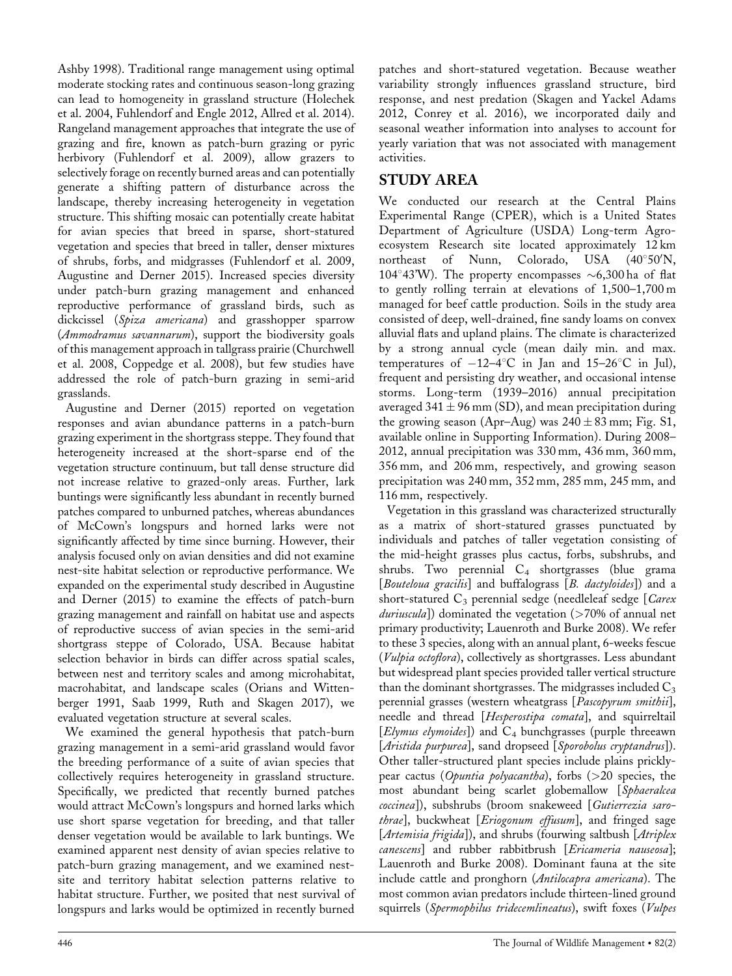Ashby 1998). Traditional range management using optimal moderate stocking rates and continuous season-long grazing can lead to homogeneity in grassland structure (Holechek et al. 2004, Fuhlendorf and Engle 2012, Allred et al. 2014). Rangeland management approaches that integrate the use of grazing and fire, known as patch-burn grazing or pyric herbivory (Fuhlendorf et al. 2009), allow grazers to selectively forage on recently burned areas and can potentially generate a shifting pattern of disturbance across the landscape, thereby increasing heterogeneity in vegetation structure. This shifting mosaic can potentially create habitat for avian species that breed in sparse, short-statured vegetation and species that breed in taller, denser mixtures of shrubs, forbs, and midgrasses (Fuhlendorf et al. 2009, Augustine and Derner 2015). Increased species diversity under patch-burn grazing management and enhanced reproductive performance of grassland birds, such as dickcissel (*Spiza americana*) and grasshopper sparrow (*Ammodramus savannarum*), support the biodiversity goals of this management approach in tallgrass prairie (Churchwell et al. 2008, Coppedge et al. 2008), but few studies have addressed the role of patch-burn grazing in semi-arid grasslands.

Augustine and Derner (2015) reported on vegetation responses and avian abundance patterns in a patch-burn grazing experiment in the shortgrass steppe. They found that heterogeneity increased at the short-sparse end of the vegetation structure continuum, but tall dense structure did not increase relative to grazed-only areas. Further, lark buntings were significantly less abundant in recently burned patches compared to unburned patches, whereas abundances of McCown's longspurs and horned larks were not significantly affected by time since burning. However, their analysis focused only on avian densities and did not examine nest-site habitat selection or reproductive performance. We expanded on the experimental study described in Augustine and Derner (2015) to examine the effects of patch-burn grazing management and rainfall on habitat use and aspects of reproductive success of avian species in the semi-arid shortgrass steppe of Colorado, USA. Because habitat selection behavior in birds can differ across spatial scales, between nest and territory scales and among microhabitat, macrohabitat, and landscape scales (Orians and Wittenberger 1991, Saab 1999, Ruth and Skagen 2017), we evaluated vegetation structure at several scales.

We examined the general hypothesis that patch-burn grazing management in a semi-arid grassland would favor the breeding performance of a suite of avian species that collectively requires heterogeneity in grassland structure. Specifically, we predicted that recently burned patches would attract McCown's longspurs and horned larks which use short sparse vegetation for breeding, and that taller denser vegetation would be available to lark buntings. We examined apparent nest density of avian species relative to patch-burn grazing management, and we examined nestsite and territory habitat selection patterns relative to habitat structure. Further, we posited that nest survival of longspurs and larks would be optimized in recently burned patches and short-statured vegetation. Because weather variability strongly influences grassland structure, bird response, and nest predation (Skagen and Yackel Adams 2012, Conrey et al. 2016), we incorporated daily and seasonal weather information into analyses to account for yearly variation that was not associated with management activities.

# **STUDY AREA**

We conducted our research at the Central Plains Experimental Range (CPER), which is a United States Department of Agriculture (USDA) Long-term Agroecosystem Research site located approximately 12 km northeast of Nunn, Colorado, USA  $(40^{\circ}50^{\prime})$ N, 104°43'W). The property encompasses  $\sim 6,300$  ha of flat to gently rolling terrain at elevations of 1,500–1,700 m managed for beef cattle production. Soils in the study area consisted of deep, well-drained, fine sandy loams on convex alluvial flats and upland plains. The climate is characterized by a strong annual cycle (mean daily min. and max. temperatures of  $-12-4$ °C in Jan and  $15-26$ °C in Jul), frequent and persisting dry weather, and occasional intense storms. Long-term (1939–2016) annual precipitation averaged  $341 \pm 96$  mm (SD), and mean precipitation during the growing season (Apr–Aug) was  $240 \pm 83$  mm; Fig. S1, available online in Supporting Information). During 2008– 2012, annual precipitation was 330 mm, 436 mm, 360 mm, 356 mm, and 206 mm, respectively, and growing season precipitation was 240 mm, 352 mm, 285 mm, 245 mm, and 116 mm, respectively.

Vegetation in this grassland was characterized structurally as a matrix of short-statured grasses punctuated by individuals and patches of taller vegetation consisting of the mid-height grasses plus cactus, forbs, subshrubs, and shrubs. Two perennial  $C_4$  shortgrasses (blue grama [*Bouteloua gracilis*] and buffalograss [*B. dactyloides*]) and a short-statured C3 perennial sedge (needleleaf sedge [*Carex duriuscula*]) dominated the vegetation (>70% of annual net primary productivity; Lauenroth and Burke 2008). We refer to these 3 species, along with an annual plant, 6-weeks fescue (*Vulpia octoflora*), collectively as shortgrasses. Less abundant but widespread plant species provided taller vertical structure than the dominant shortgrasses. The midgrasses included  $C_3$ perennial grasses (western wheatgrass [*Pascopyrum smithii*], needle and thread [*Hesperostipa comata*], and squirreltail [*Elymus elymoides*]) and C<sub>4</sub> bunchgrasses (purple threeawn [*Aristida purpurea*], sand dropseed [*Sporobolus cryptandrus*]). Other taller-structured plant species include plains pricklypear cactus (*Opuntia polyacantha*), forbs (>20 species, the most abundant being scarlet globemallow [*Sphaeralcea coccinea*]), subshrubs (broom snakeweed [*Gutierrezia sarothrae*], buckwheat [*Eriogonum effusum*], and fringed sage [*Artemisia frigida*]), and shrubs (fourwing saltbush [*Atriplex canescens*] and rubber rabbitbrush [*Ericameria nauseosa*]; Lauenroth and Burke 2008). Dominant fauna at the site include cattle and pronghorn (*Antilocapra americana*). The most common avian predators include thirteen-lined ground squirrels (*Spermophilus tridecemlineatus*), swift foxes (*Vulpes*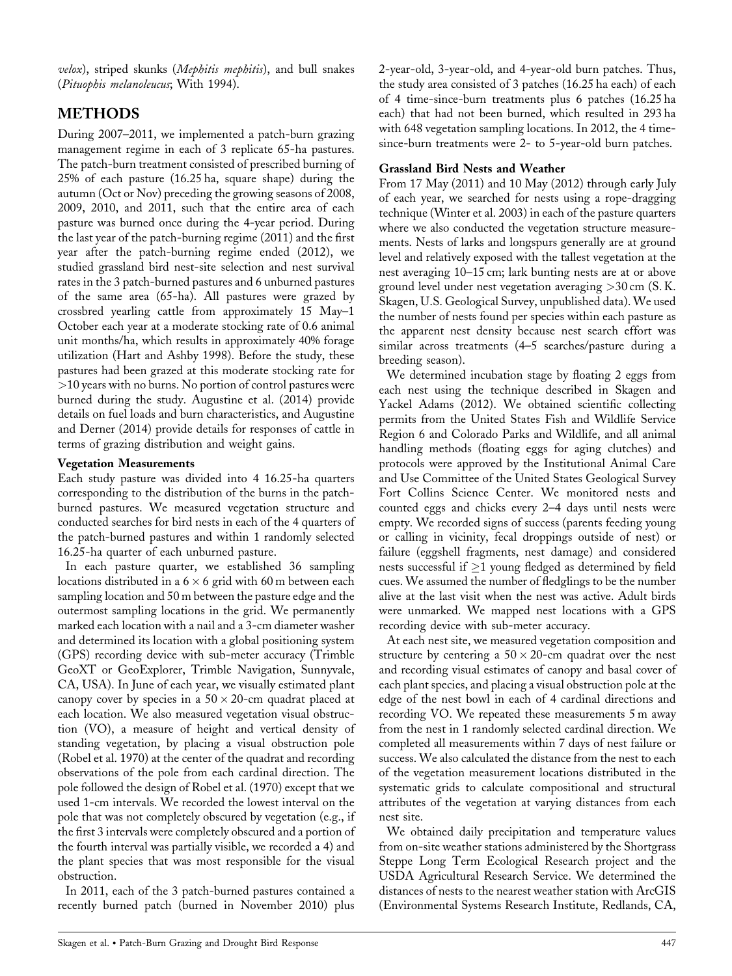*velox*), striped skunks (*Mephitis mephitis*), and bull snakes (*Pituophis melanoleucus*; With 1994).

# **METHODS**

During 2007–2011, we implemented a patch-burn grazing management regime in each of 3 replicate 65-ha pastures. The patch-burn treatment consisted of prescribed burning of 25% of each pasture (16.25 ha, square shape) during the autumn (Oct or Nov) preceding the growing seasons of 2008, 2009, 2010, and 2011, such that the entire area of each pasture was burned once during the 4-year period. During the last year of the patch-burning regime (2011) and the first year after the patch-burning regime ended (2012), we studied grassland bird nest-site selection and nest survival rates in the 3 patch-burned pastures and 6 unburned pastures of the same area (65-ha). All pastures were grazed by crossbred yearling cattle from approximately 15 May–1 October each year at a moderate stocking rate of 0.6 animal unit months/ha, which results in approximately 40% forage utilization (Hart and Ashby 1998). Before the study, these pastures had been grazed at this moderate stocking rate for >10 years with no burns. No portion of control pastures were burned during the study. Augustine et al. (2014) provide details on fuel loads and burn characteristics, and Augustine and Derner (2014) provide details for responses of cattle in terms of grazing distribution and weight gains.

### **Vegetation Measurements**

Each study pasture was divided into 4 16.25-ha quarters corresponding to the distribution of the burns in the patchburned pastures. We measured vegetation structure and conducted searches for bird nests in each of the 4 quarters of the patch-burned pastures and within 1 randomly selected 16.25-ha quarter of each unburned pasture.

In each pasture quarter, we established 36 sampling locations distributed in a  $6 \times 6$  grid with 60 m between each sampling location and 50 m between the pasture edge and the outermost sampling locations in the grid. We permanently marked each location with a nail and a 3-cm diameter washer and determined its location with a global positioning system (GPS) recording device with sub-meter accuracy (Trimble GeoXT or GeoExplorer, Trimble Navigation, Sunnyvale, CA, USA). In June of each year, we visually estimated plant canopy cover by species in a  $50 \times 20$ -cm quadrat placed at each location. We also measured vegetation visual obstruction (VO), a measure of height and vertical density of standing vegetation, by placing a visual obstruction pole (Robel et al. 1970) at the center of the quadrat and recording observations of the pole from each cardinal direction. The pole followed the design of Robel et al. (1970) except that we used 1-cm intervals. We recorded the lowest interval on the pole that was not completely obscured by vegetation (e.g., if the first 3 intervals were completely obscured and a portion of the fourth interval was partially visible, we recorded a 4) and the plant species that was most responsible for the visual obstruction.

In 2011, each of the 3 patch-burned pastures contained a recently burned patch (burned in November 2010) plus 2-year-old, 3-year-old, and 4-year-old burn patches. Thus, the study area consisted of 3 patches (16.25 ha each) of each of 4 time-since-burn treatments plus 6 patches (16.25 ha each) that had not been burned, which resulted in 293 ha with 648 vegetation sampling locations. In 2012, the 4 timesince-burn treatments were 2- to 5-year-old burn patches.

## **Grassland Bird Nests and Weather**

From 17 May (2011) and 10 May (2012) through early July of each year, we searched for nests using a rope-dragging technique (Winter et al. 2003) in each of the pasture quarters where we also conducted the vegetation structure measurements. Nests of larks and longspurs generally are at ground level and relatively exposed with the tallest vegetation at the nest averaging 10–15 cm; lark bunting nests are at or above ground level under nest vegetation averaging >30 cm (S. K. Skagen, U.S. Geological Survey, unpublished data). We used the number of nests found per species within each pasture as the apparent nest density because nest search effort was similar across treatments (4–5 searches/pasture during a breeding season).

We determined incubation stage by floating 2 eggs from each nest using the technique described in Skagen and Yackel Adams (2012). We obtained scientific collecting permits from the United States Fish and Wildlife Service Region 6 and Colorado Parks and Wildlife, and all animal handling methods (floating eggs for aging clutches) and protocols were approved by the Institutional Animal Care and Use Committee of the United States Geological Survey Fort Collins Science Center. We monitored nests and counted eggs and chicks every 2–4 days until nests were empty. We recorded signs of success (parents feeding young or calling in vicinity, fecal droppings outside of nest) or failure (eggshell fragments, nest damage) and considered nests successful if  $\geq$ 1 young fledged as determined by field cues. We assumed the number of fledglings to be the number alive at the last visit when the nest was active. Adult birds were unmarked. We mapped nest locations with a GPS recording device with sub-meter accuracy.

At each nest site, we measured vegetation composition and structure by centering a  $50 \times 20$ -cm quadrat over the nest and recording visual estimates of canopy and basal cover of each plant species, and placing a visual obstruction pole at the edge of the nest bowl in each of 4 cardinal directions and recording VO. We repeated these measurements 5 m away from the nest in 1 randomly selected cardinal direction. We completed all measurements within 7 days of nest failure or success. We also calculated the distance from the nest to each of the vegetation measurement locations distributed in the systematic grids to calculate compositional and structural attributes of the vegetation at varying distances from each nest site.

We obtained daily precipitation and temperature values from on-site weather stations administered by the Shortgrass Steppe Long Term Ecological Research project and the USDA Agricultural Research Service. We determined the distances of nests to the nearest weather station with ArcGIS (Environmental Systems Research Institute, Redlands, CA,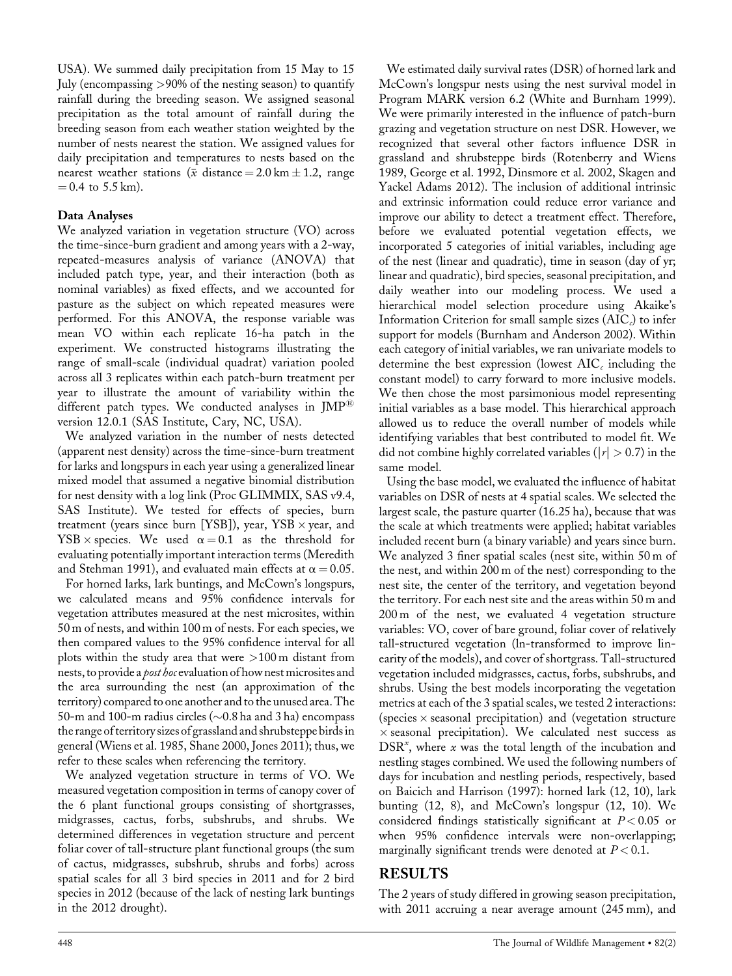USA). We summed daily precipitation from 15 May to 15 July (encompassing >90% of the nesting season) to quantify rainfall during the breeding season. We assigned seasonal precipitation as the total amount of rainfall during the breeding season from each weather station weighted by the number of nests nearest the station. We assigned values for daily precipitation and temperatures to nests based on the nearest weather stations ( $\bar{x}$  distance = 2.0 km  $\pm$  1.2, range  $= 0.4$  to 5.5 km).

## **Data Analyses**

We analyzed variation in vegetation structure (VO) across the time-since-burn gradient and among years with a 2-way, repeated-measures analysis of variance (ANOVA) that included patch type, year, and their interaction (both as nominal variables) as fixed effects, and we accounted for pasture as the subject on which repeated measures were performed. For this ANOVA, the response variable was mean VO within each replicate 16-ha patch in the experiment. We constructed histograms illustrating the range of small-scale (individual quadrat) variation pooled across all 3 replicates within each patch-burn treatment per year to illustrate the amount of variability within the different patch types. We conducted analyses in  $JMP^{18}$ version 12.0.1 (SAS Institute, Cary, NC, USA).

We analyzed variation in the number of nests detected (apparent nest density) across the time-since-burn treatment for larks and longspurs in each year using a generalized linear mixed model that assumed a negative binomial distribution for nest density with a log link (Proc GLIMMIX, SAS v9.4, SAS Institute). We tested for effects of species, burn treatment (years since burn [YSB]), year, YSB  $\times$  year, and  $YSB \times species.$  We used  $\alpha = 0.1$  as the threshold for evaluating potentially important interaction terms (Meredith and Stehman 1991), and evaluated main effects at  $\alpha = 0.05$ .

For horned larks, lark buntings, and McCown's longspurs, we calculated means and 95% confidence intervals for vegetation attributes measured at the nest microsites, within 50 m of nests, and within 100 m of nests. For each species, we then compared values to the 95% confidence interval for all plots within the study area that were >100 m distant from nests, to provide a *post hoc* evaluation of how nestmicrosites and the area surrounding the nest (an approximation of the territory) compared to one another and to the unused area. The 50-m and 100-m radius circles ( $\sim$ 0.8 ha and 3 ha) encompass the range of territory sizes of grassland and shrubsteppe birdsin general (Wiens et al. 1985, Shane 2000, Jones 2011); thus, we refer to these scales when referencing the territory.

We analyzed vegetation structure in terms of VO. We measured vegetation composition in terms of canopy cover of the 6 plant functional groups consisting of shortgrasses, midgrasses, cactus, forbs, subshrubs, and shrubs. We determined differences in vegetation structure and percent foliar cover of tall-structure plant functional groups (the sum of cactus, midgrasses, subshrub, shrubs and forbs) across spatial scales for all 3 bird species in 2011 and for 2 bird species in 2012 (because of the lack of nesting lark buntings in the 2012 drought).

We estimated daily survival rates (DSR) of horned lark and McCown's longspur nests using the nest survival model in Program MARK version 6.2 (White and Burnham 1999). We were primarily interested in the influence of patch-burn grazing and vegetation structure on nest DSR. However, we recognized that several other factors influence DSR in grassland and shrubsteppe birds (Rotenberry and Wiens 1989, George et al. 1992, Dinsmore et al. 2002, Skagen and Yackel Adams 2012). The inclusion of additional intrinsic and extrinsic information could reduce error variance and improve our ability to detect a treatment effect. Therefore, before we evaluated potential vegetation effects, we incorporated 5 categories of initial variables, including age of the nest (linear and quadratic), time in season (day of yr; linear and quadratic), bird species, seasonal precipitation, and daily weather into our modeling process. We used a hierarchical model selection procedure using Akaike's Information Criterion for small sample sizes (AIC<sub>c</sub>) to infer support for models (Burnham and Anderson 2002). Within each category of initial variables, we ran univariate models to determine the best expression (lowest AIC<sub>c</sub> including the constant model) to carry forward to more inclusive models. We then chose the most parsimonious model representing initial variables as a base model. This hierarchical approach allowed us to reduce the overall number of models while identifying variables that best contributed to model fit. We did not combine highly correlated variables ( $|r| > 0.7$ ) in the same model.

Using the base model, we evaluated the influence of habitat variables on DSR of nests at 4 spatial scales. We selected the largest scale, the pasture quarter (16.25 ha), because that was the scale at which treatments were applied; habitat variables included recent burn (a binary variable) and years since burn. We analyzed 3 finer spatial scales (nest site, within 50 m of the nest, and within 200 m of the nest) corresponding to the nest site, the center of the territory, and vegetation beyond the territory. For each nest site and the areas within 50 m and 200 m of the nest, we evaluated 4 vegetation structure variables: VO, cover of bare ground, foliar cover of relatively tall-structured vegetation (ln-transformed to improve linearity of the models), and cover of shortgrass. Tall-structured vegetation included midgrasses, cactus, forbs, subshrubs, and shrubs. Using the best models incorporating the vegetation metrics at each of the 3 spatial scales, we tested 2 interactions: (species  $\times$  seasonal precipitation) and (vegetation structure  $\times$  seasonal precipitation). We calculated nest success as DSR*<sup>x</sup>* , where *x* was the total length of the incubation and nestling stages combined. We used the following numbers of days for incubation and nestling periods, respectively, based on Baicich and Harrison (1997): horned lark (12, 10), lark bunting (12, 8), and McCown's longspur (12, 10). We considered findings statistically significant at *P* < 0.05 or when 95% confidence intervals were non-overlapping; marginally significant trends were denoted at  $P < 0.1$ .

# **RESULTS**

The 2 years of study differed in growing season precipitation, with 2011 accruing a near average amount (245 mm), and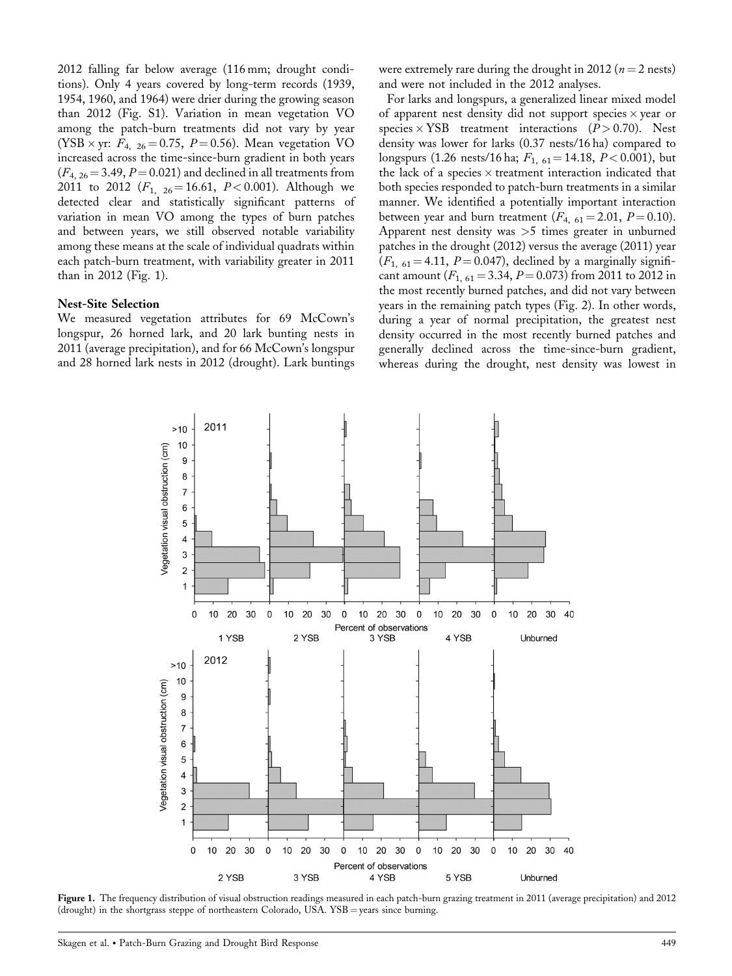2012 falling far below average (116 mm; drought conditions). Only 4 years covered by long-term records (1939, 1954, 1960, and 1964) were drier during the growing season than 2012 (Fig. S1). Variation in mean vegetation VO among the patch-burn treatments did not vary by year (YSB  $\times$  yr:  $F_{4, 26} = 0.75, P = 0.56$ ). Mean vegetation VO increased across the time-since-burn gradient in both years  $(F_{4, 26} = 3.49, P = 0.021)$  and declined in all treatments from 2011 to 2012  $(F_{1, 26} = 16.61, P < 0.001)$ . Although we detected clear and statistically significant patterns of variation in mean VO among the types of burn patches and between years, we still observed notable variability among these means at the scale of individual quadrats within each patch-burn treatment, with variability greater in 2011 than in 2012 (Fig. 1).

#### **Nest-Site Selection**

We measured vegetation attributes for 69 McCown's longspur, 26 horned lark, and 20 lark bunting nests in 2011 (average precipitation), and for 66 McCown's longspur and 28 horned lark nests in 2012 (drought). Lark buntings

were extremely rare during the drought in 2012 ( $n = 2$  nests) and were not included in the 2012 analyses.

For larks and longspurs, a generalized linear mixed model of apparent nest density did not support species  $\times$  year or species  $\times$  YSB treatment interactions ( $P > 0.70$ ). Nest density was lower for larks (0.37 nests/16 ha) compared to longspurs (1.26 nests/16 ha;  $F_{1, 61} = 14.18, P < 0.001$ ), but the lack of a species  $\times$  treatment interaction indicated that both species responded to patch-burn treatments in a similar manner. We identified a potentially important interaction between year and burn treatment  $(F_{4, 61} = 2.01, P = 0.10)$ . Apparent nest density was >5 times greater in unburned patches in the drought (2012) versus the average (2011) year  $(F_{1, 61} = 4.11, P = 0.047)$ , declined by a marginally significant amount  $(F_{1, 61} = 3.34, P = 0.073)$  from 2011 to 2012 in the most recently burned patches, and did not vary between years in the remaining patch types (Fig. 2). In other words, during a year of normal precipitation, the greatest nest density occurred in the most recently burned patches and generally declined across the time-since-burn gradient, whereas during the drought, nest density was lowest in



**Figure 1.** The frequency distribution of visual obstruction readings measured in each patch-burn grazing treatment in 2011 (average precipitation) and 2012  $(drought)$  in the shortgrass steppe of northeastern Colorado, USA.  $YSB = years$  since burning.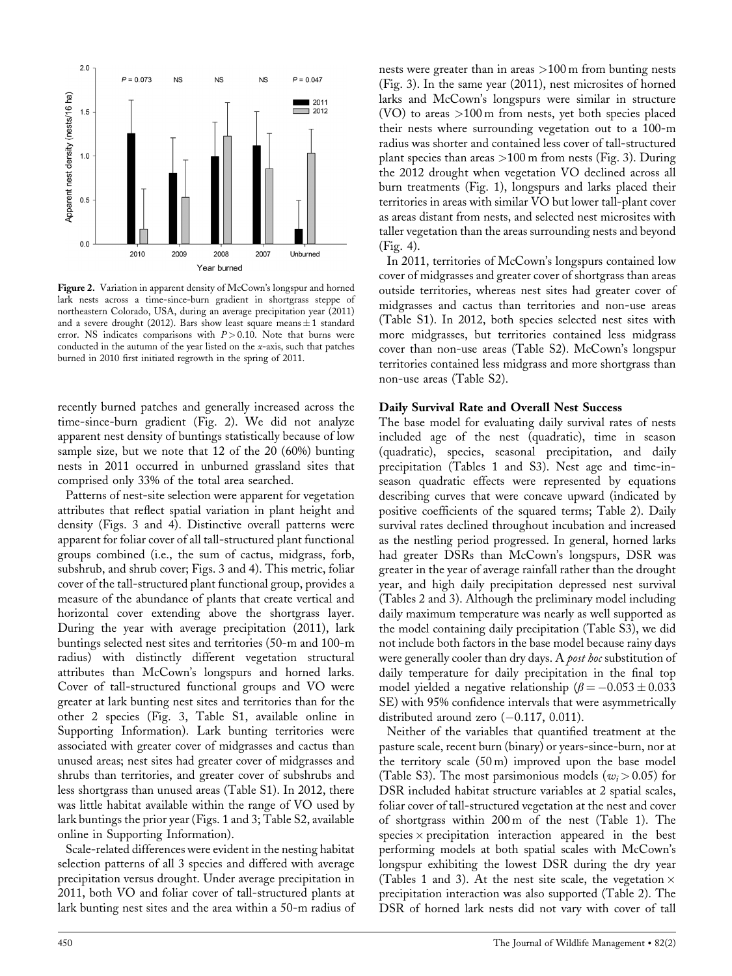

**Figure 2.** Variation in apparent density of McCown's longspur and horned lark nests across a time-since-burn gradient in shortgrass steppe of northeastern Colorado, USA, during an average precipitation year (2011) and a severe drought (2012). Bars show least square means  $\pm$  1 standard error. NS indicates comparisons with *P* > 0.10. Note that burns were conducted in the autumn of the year listed on the *x*-axis, such that patches burned in 2010 first initiated regrowth in the spring of 2011.

recently burned patches and generally increased across the time-since-burn gradient (Fig. 2). We did not analyze apparent nest density of buntings statistically because of low sample size, but we note that 12 of the 20 (60%) bunting nests in 2011 occurred in unburned grassland sites that comprised only 33% of the total area searched.

Patterns of nest-site selection were apparent for vegetation attributes that reflect spatial variation in plant height and density (Figs. 3 and 4). Distinctive overall patterns were apparent for foliar cover of all tall-structured plant functional groups combined (i.e., the sum of cactus, midgrass, forb, subshrub, and shrub cover; Figs. 3 and 4). This metric, foliar cover of the tall-structured plant functional group, provides a measure of the abundance of plants that create vertical and horizontal cover extending above the shortgrass layer. During the year with average precipitation (2011), lark buntings selected nest sites and territories (50-m and 100-m radius) with distinctly different vegetation structural attributes than McCown's longspurs and horned larks. Cover of tall-structured functional groups and VO were greater at lark bunting nest sites and territories than for the other 2 species (Fig. 3, Table S1, available online in Supporting Information). Lark bunting territories were associated with greater cover of midgrasses and cactus than unused areas; nest sites had greater cover of midgrasses and shrubs than territories, and greater cover of subshrubs and less shortgrass than unused areas (Table S1). In 2012, there was little habitat available within the range of VO used by lark buntings the prior year (Figs. 1 and 3; Table S2, available online in Supporting Information).

Scale-related differences were evident in the nesting habitat selection patterns of all 3 species and differed with average precipitation versus drought. Under average precipitation in 2011, both VO and foliar cover of tall-structured plants at lark bunting nest sites and the area within a 50-m radius of

nests were greater than in areas >100 m from bunting nests (Fig. 3). In the same year (2011), nest microsites of horned larks and McCown's longspurs were similar in structure (VO) to areas >100 m from nests, yet both species placed their nests where surrounding vegetation out to a 100-m radius was shorter and contained less cover of tall-structured plant species than areas  $>100$  m from nests (Fig. 3). During the 2012 drought when vegetation VO declined across all burn treatments (Fig. 1), longspurs and larks placed their territories in areas with similar VO but lower tall-plant cover as areas distant from nests, and selected nest microsites with taller vegetation than the areas surrounding nests and beyond (Fig. 4).

In 2011, territories of McCown's longspurs contained low cover of midgrasses and greater cover of shortgrass than areas outside territories, whereas nest sites had greater cover of midgrasses and cactus than territories and non-use areas (Table S1). In 2012, both species selected nest sites with more midgrasses, but territories contained less midgrass cover than non-use areas (Table S2). McCown's longspur territories contained less midgrass and more shortgrass than non-use areas (Table S2).

#### **Daily Survival Rate and Overall Nest Success**

The base model for evaluating daily survival rates of nests included age of the nest (quadratic), time in season (quadratic), species, seasonal precipitation, and daily precipitation (Tables 1 and S3). Nest age and time-inseason quadratic effects were represented by equations describing curves that were concave upward (indicated by positive coefficients of the squared terms; Table 2). Daily survival rates declined throughout incubation and increased as the nestling period progressed. In general, horned larks had greater DSRs than McCown's longspurs, DSR was greater in the year of average rainfall rather than the drought year, and high daily precipitation depressed nest survival (Tables 2 and 3). Although the preliminary model including daily maximum temperature was nearly as well supported as the model containing daily precipitation (Table S3), we did not include both factors in the base model because rainy days were generally cooler than dry days. A *post hoc* substitution of daily temperature for daily precipitation in the final top model yielded a negative relationship ( $\beta = -0.053 \pm 0.033$ ) SE) with 95% confidence intervals that were asymmetrically distributed around zero  $(-0.117, 0.011)$ .

Neither of the variables that quantified treatment at the pasture scale, recent burn (binary) or years-since-burn, nor at the territory scale (50 m) improved upon the base model (Table S3). The most parsimonious models  $(w_i > 0.05)$  for DSR included habitat structure variables at 2 spatial scales, foliar cover of tall-structured vegetation at the nest and cover of shortgrass within 200 m of the nest (Table 1). The species  $\times$  precipitation interaction appeared in the best performing models at both spatial scales with McCown's longspur exhibiting the lowest DSR during the dry year (Tables 1 and 3). At the nest site scale, the vegetation  $\times$ precipitation interaction was also supported (Table 2). The DSR of horned lark nests did not vary with cover of tall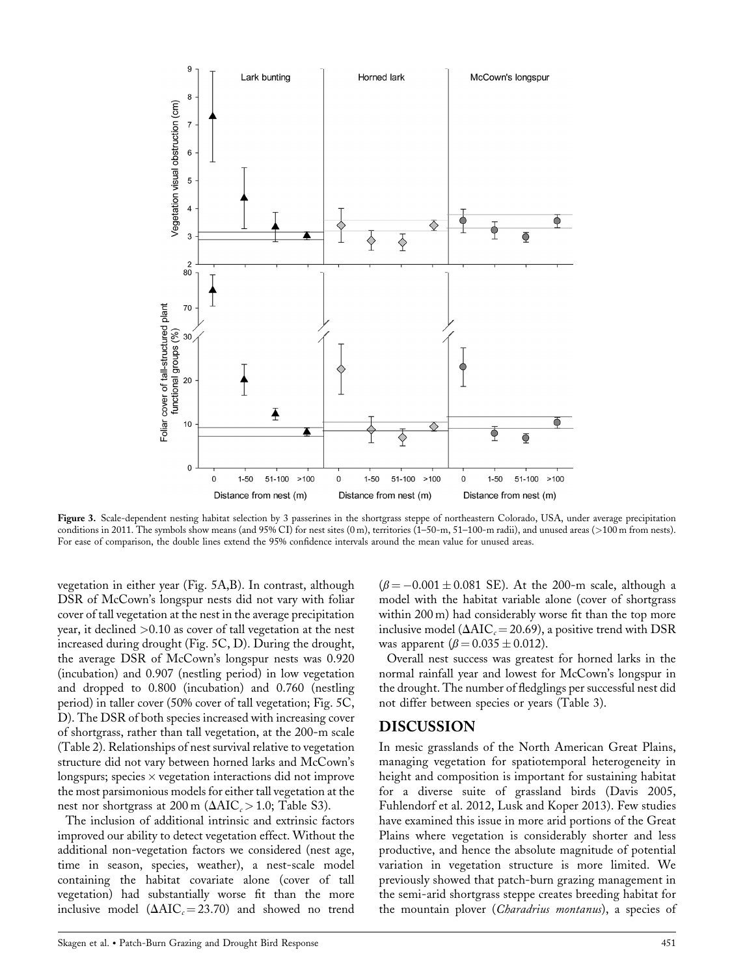

Figure 3. Scale-dependent nesting habitat selection by 3 passerines in the shortgrass steppe of northeastern Colorado, USA, under average precipitation conditions in 2011. The symbols show means (and 95% CI) for nest sites (0 m), territories (1–50-m, 51–100-m radii), and unused areas (>100 m from nests). For ease of comparison, the double lines extend the 95% confidence intervals around the mean value for unused areas.

vegetation in either year (Fig. 5A,B). In contrast, although DSR of McCown's longspur nests did not vary with foliar cover of tall vegetation at the nest in the average precipitation year, it declined >0.10 as cover of tall vegetation at the nest increased during drought (Fig. 5C, D). During the drought, the average DSR of McCown's longspur nests was 0.920 (incubation) and 0.907 (nestling period) in low vegetation and dropped to 0.800 (incubation) and 0.760 (nestling period) in taller cover (50% cover of tall vegetation; Fig. 5C, D). The DSR of both species increased with increasing cover of shortgrass, rather than tall vegetation, at the 200-m scale (Table 2). Relationships of nest survival relative to vegetation structure did not vary between horned larks and McCown's longspurs; species  $\times$  vegetation interactions did not improve the most parsimonious models for either tall vegetation at the nest nor shortgrass at 200 m (ΔAIC<sub>*c*</sub> > 1.0; Table S3).

The inclusion of additional intrinsic and extrinsic factors improved our ability to detect vegetation effect. Without the additional non-vegetation factors we considered (nest age, time in season, species, weather), a nest-scale model containing the habitat covariate alone (cover of tall vegetation) had substantially worse fit than the more inclusive model  $(\Delta AIC_c = 23.70)$  and showed no trend

 $(\beta = -0.001 \pm 0.081 \text{ SE})$ . At the 200-m scale, although a model with the habitat variable alone (cover of shortgrass within 200 m) had considerably worse fit than the top more inclusive model ( $\Delta AIC_c = 20.69$ ), a positive trend with DSR was apparent  $(\beta = 0.035 \pm 0.012)$ .

Overall nest success was greatest for horned larks in the normal rainfall year and lowest for McCown's longspur in the drought. The number of fledglings per successful nest did not differ between species or years (Table 3).

### **DISCUSSION**

In mesic grasslands of the North American Great Plains, managing vegetation for spatiotemporal heterogeneity in height and composition is important for sustaining habitat for a diverse suite of grassland birds (Davis 2005, Fuhlendorf et al. 2012, Lusk and Koper 2013). Few studies have examined this issue in more arid portions of the Great Plains where vegetation is considerably shorter and less productive, and hence the absolute magnitude of potential variation in vegetation structure is more limited. We previously showed that patch-burn grazing management in the semi-arid shortgrass steppe creates breeding habitat for the mountain plover (*Charadrius montanus*), a species of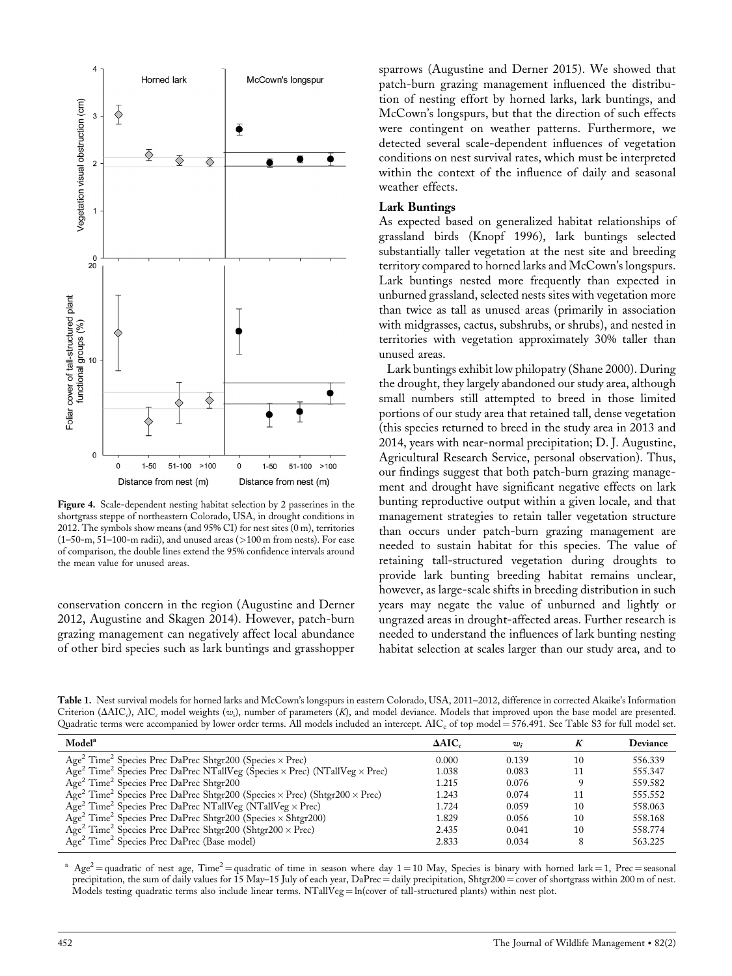

**Figure 4.** Scale-dependent nesting habitat selection by 2 passerines in the shortgrass steppe of northeastern Colorado, USA, in drought conditions in 2012. The symbols show means (and 95% CI) for nest sites (0 m), territories (1–50-m, 51–100-m radii), and unused areas (>100 m from nests). For ease of comparison, the double lines extend the 95% confidence intervals around the mean value for unused areas.

conservation concern in the region (Augustine and Derner 2012, Augustine and Skagen 2014). However, patch-burn grazing management can negatively affect local abundance of other bird species such as lark buntings and grasshopper

sparrows (Augustine and Derner 2015). We showed that patch-burn grazing management influenced the distribution of nesting effort by horned larks, lark buntings, and McCown's longspurs, but that the direction of such effects were contingent on weather patterns. Furthermore, we detected several scale-dependent influences of vegetation conditions on nest survival rates, which must be interpreted within the context of the influence of daily and seasonal weather effects.

#### **Lark Buntings**

As expected based on generalized habitat relationships of grassland birds (Knopf 1996), lark buntings selected substantially taller vegetation at the nest site and breeding territory compared to horned larks and McCown's longspurs. Lark buntings nested more frequently than expected in unburned grassland, selected nests sites with vegetation more than twice as tall as unused areas (primarily in association with midgrasses, cactus, subshrubs, or shrubs), and nested in territories with vegetation approximately 30% taller than unused areas.

Lark buntings exhibit low philopatry (Shane 2000). During the drought, they largely abandoned our study area, although small numbers still attempted to breed in those limited portions of our study area that retained tall, dense vegetation (this species returned to breed in the study area in 2013 and 2014, years with near-normal precipitation; D. J. Augustine, Agricultural Research Service, personal observation). Thus, our findings suggest that both patch-burn grazing management and drought have significant negative effects on lark bunting reproductive output within a given locale, and that management strategies to retain taller vegetation structure than occurs under patch-burn grazing management are needed to sustain habitat for this species. The value of retaining tall-structured vegetation during droughts to provide lark bunting breeding habitat remains unclear, however, as large-scale shifts in breeding distribution in such years may negate the value of unburned and lightly or ungrazed areas in drought-affected areas. Further research is needed to understand the influences of lark bunting nesting habitat selection at scales larger than our study area, and to

**Table 1.** Nest survival models for horned larks and McCown's longspurs in eastern Colorado, USA, 2011–2012, difference in corrected Akaike's Information Criterion ( $\triangle AIC_c$ ),  $AIC_c$  model weights ( $w_i$ ), number of parameters (*K*), and model deviance. Models that improved upon the base model are presented. Quadratic terms were accompanied by lower order terms. All models included an intercept. AIC<sub>c</sub> of top model = 576.491. See Table S3 for full model set.

| Model <sup>a</sup>                                                                                           | $\Delta AIC$ | w:    |    | Deviance |
|--------------------------------------------------------------------------------------------------------------|--------------|-------|----|----------|
| $Age2 Time2 Species Prec DaPrec Shtgr200 (Species × Prec)$                                                   | 0.000        | 0.139 | 10 | 556.339  |
| $\rm{Age}^2$ Time <sup>2</sup> Species Prec DaPrec NTallVeg (Species $\times$ Prec) (NTallVeg $\times$ Prec) | 1.038        | 0.083 |    | 555.347  |
| Age <sup>2</sup> Time <sup>2</sup> Species Prec DaPrec Shtgr200                                              | 1.215        | 0.076 |    | 559.582  |
| $\rm{Age}^2$ Time <sup>2</sup> Species Prec DaPrec Shtgr200 (Species $\times$ Prec) (Shtgr200 $\times$ Prec) | 1.243        | 0.074 |    | 555.552  |
| $Age2 Time2 Species Prec DaPrec NTallVeg (NTallVeg × Prec)$                                                  | 1.724        | 0.059 | 10 | 558.063  |
| Age <sup>2</sup> Time <sup>2</sup> Species Prec DaPrec Shtgr200 (Species × Shtgr200)                         | 1.829        | 0.056 | 10 | 558.168  |
| $Age2 Time2 Species Prec DaPrec Shtgr200 (Shtgr200 × Prec)$                                                  | 2.435        | 0.041 | 10 | 558.774  |
| Age <sup>2</sup> Time <sup>2</sup> Species Prec DaPrec (Base model)                                          | 2.833        | 0.034 |    | 563.225  |

 $A g e^2 =$  quadratic of nest age, Time<sup>2</sup> = quadratic of time in season where day 1 = 10 May, Species is binary with horned lark = 1, Prec = seasonal precipitation, the sum of daily values for 15 May–15 July of each year, DaPrec = daily precipitation, Shtgr200 = cover of shortgrass within 200 m of nest. Models testing quadratic terms also include linear terms.  $NTallVeg = ln(cover of tall-structured plants)$  within nest plot.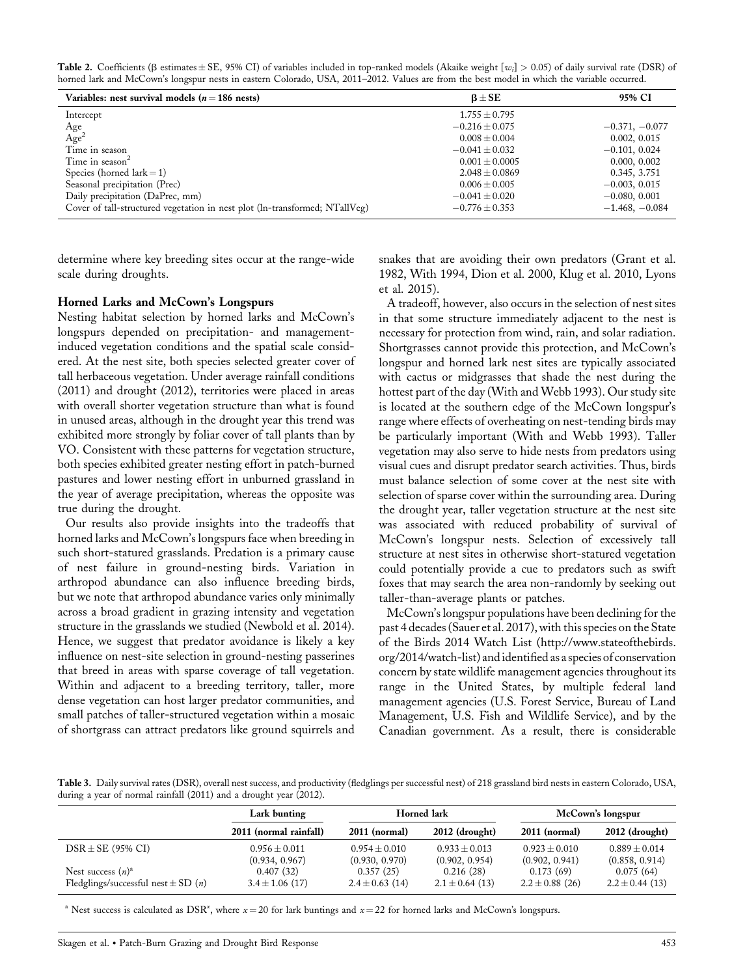**Table 2.** Coefficients (b estimates SE, 95% CI) of variables included in top-ranked models (Akaike weight [*wi*] > 0.05) of daily survival rate (DSR) of horned lark and McCown's longspur nests in eastern Colorado, USA, 2011–2012. Values are from the best model in which the variable occurred.

| Variables: nest survival models $(n = 186$ nests)                           | $\beta \pm SE$     | 95% CI           |
|-----------------------------------------------------------------------------|--------------------|------------------|
| Intercept                                                                   | $1.755 \pm 0.795$  |                  |
|                                                                             | $-0.216 \pm 0.075$ | $-0.371, -0.077$ |
| $\frac{\text{Age}}{\text{Age}^2}$                                           | $0.008 + 0.004$    | 0.002, 0.015     |
| Time in season                                                              | $-0.041 \pm 0.032$ | $-0.101, 0.024$  |
| Time in season <sup>2</sup>                                                 | $0.001 \pm 0.0005$ | 0.000, 0.002     |
| Species (horned $lark = 1$ )                                                | $2.048 \pm 0.0869$ | 0.345, 3.751     |
| Seasonal precipitation (Prec)                                               | $0.006 \pm 0.005$  | $-0.003, 0.015$  |
| Daily precipitation (DaPrec, mm)                                            | $-0.041 \pm 0.020$ | $-0.080, 0.001$  |
| Cover of tall-structured vegetation in nest plot (ln-transformed; NTallVeg) | $-0.776 \pm 0.353$ | $-1.468, -0.084$ |

determine where key breeding sites occur at the range-wide scale during droughts.

#### **Horned Larks and McCown's Longspurs**

Nesting habitat selection by horned larks and McCown's longspurs depended on precipitation- and managementinduced vegetation conditions and the spatial scale considered. At the nest site, both species selected greater cover of tall herbaceous vegetation. Under average rainfall conditions (2011) and drought (2012), territories were placed in areas with overall shorter vegetation structure than what is found in unused areas, although in the drought year this trend was exhibited more strongly by foliar cover of tall plants than by VO. Consistent with these patterns for vegetation structure, both species exhibited greater nesting effort in patch-burned pastures and lower nesting effort in unburned grassland in the year of average precipitation, whereas the opposite was true during the drought.

Our results also provide insights into the tradeoffs that horned larks and McCown's longspurs face when breeding in such short-statured grasslands. Predation is a primary cause of nest failure in ground-nesting birds. Variation in arthropod abundance can also influence breeding birds, but we note that arthropod abundance varies only minimally across a broad gradient in grazing intensity and vegetation structure in the grasslands we studied (Newbold et al. 2014). Hence, we suggest that predator avoidance is likely a key influence on nest-site selection in ground-nesting passerines that breed in areas with sparse coverage of tall vegetation. Within and adjacent to a breeding territory, taller, more dense vegetation can host larger predator communities, and small patches of taller-structured vegetation within a mosaic of shortgrass can attract predators like ground squirrels and

snakes that are avoiding their own predators (Grant et al. 1982, With 1994, Dion et al. 2000, Klug et al. 2010, Lyons et al. 2015).

A tradeoff, however, also occurs in the selection of nest sites in that some structure immediately adjacent to the nest is necessary for protection from wind, rain, and solar radiation. Shortgrasses cannot provide this protection, and McCown's longspur and horned lark nest sites are typically associated with cactus or midgrasses that shade the nest during the hottest part of the day (With and Webb 1993). Our study site is located at the southern edge of the McCown longspur's range where effects of overheating on nest-tending birds may be particularly important (With and Webb 1993). Taller vegetation may also serve to hide nests from predators using visual cues and disrupt predator search activities. Thus, birds must balance selection of some cover at the nest site with selection of sparse cover within the surrounding area. During the drought year, taller vegetation structure at the nest site was associated with reduced probability of survival of McCown's longspur nests. Selection of excessively tall structure at nest sites in otherwise short-statured vegetation could potentially provide a cue to predators such as swift foxes that may search the area non-randomly by seeking out taller-than-average plants or patches.

McCown's longspur populations have been declining for the past 4 decades (Sauer et al. 2017), with this species on the State of the Birds 2014 Watch List ([http://www.stateofthebirds.](http://www.stateofthebirds.org/2014/watch-list) [org/2014/watch-list\)](http://www.stateofthebirds.org/2014/watch-list) andidentified as a species of conservation concern by state wildlife management agencies throughout its range in the United States, by multiple federal land management agencies (U.S. Forest Service, Bureau of Land Management, U.S. Fish and Wildlife Service), and by the Canadian government. As a result, there is considerable

**Table 3.** Daily survival rates (DSR), overall nest success, and productivity (fledglings per successful nest) of 218 grassland bird nests in eastern Colorado, USA, during a year of normal rainfall (2011) and a drought year (2012).

|                                           | Lark bunting           | <b>Horned lark</b>  |                     | McCown's longspur   |                     |  |
|-------------------------------------------|------------------------|---------------------|---------------------|---------------------|---------------------|--|
|                                           | 2011 (normal rainfall) | $2011$ (normal)     | $2012$ (drought)    | $2011$ (normal)     | $2012$ (drought)    |  |
| $DSR \pm SE$ (95% CI)                     | $0.956 + 0.011$        | $0.954 + 0.010$     | $0.933 + 0.013$     | $0.923 + 0.010$     | $0.889 + 0.014$     |  |
|                                           | (0.934, 0.967)         | (0.930, 0.970)      | (0.902, 0.954)      | (0.902, 0.941)      | (0.858, 0.914)      |  |
| Nest success $(n)^a$                      | 0.407(32)              | 0.357(25)           | 0.216(28)           | 0.173(69)           | 0.075(64)           |  |
| Fledglings/successful nest $\pm$ SD $(n)$ | $3.4 \pm 1.06$ (17)    | $2.4 \pm 0.63$ (14) | $2.1 \pm 0.64$ (13) | $2.2 \pm 0.88$ (26) | $2.2 \pm 0.44$ (13) |  |

<sup>a</sup> Nest success is calculated as DSR<sup>x</sup>, where  $x = 20$  for lark buntings and  $x = 22$  for horned larks and McCown's longspurs.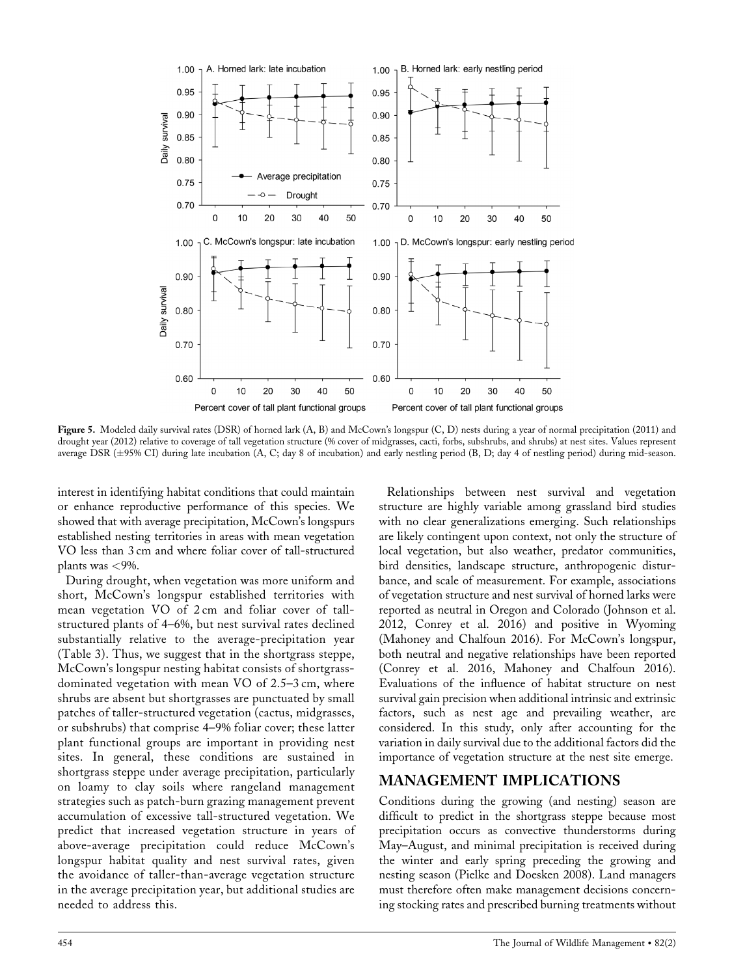

**Figure 5.** Modeled daily survival rates (DSR) of horned lark (A, B) and McCown's longspur (C, D) nests during a year of normal precipitation (2011) and drought year (2012) relative to coverage of tall vegetation structure (% cover of midgrasses, cacti, forbs, subshrubs, and shrubs) at nest sites. Values represent average DSR (±95% CI) during late incubation (A, C; day 8 of incubation) and early nestling period (B, D; day 4 of nestling period) during mid-season.

interest in identifying habitat conditions that could maintain or enhance reproductive performance of this species. We showed that with average precipitation, McCown's longspurs established nesting territories in areas with mean vegetation VO less than 3 cm and where foliar cover of tall-structured plants was <9%.

During drought, when vegetation was more uniform and short, McCown's longspur established territories with mean vegetation VO of 2 cm and foliar cover of tallstructured plants of 4–6%, but nest survival rates declined substantially relative to the average-precipitation year (Table 3). Thus, we suggest that in the shortgrass steppe, McCown's longspur nesting habitat consists of shortgrassdominated vegetation with mean VO of 2.5–3 cm, where shrubs are absent but shortgrasses are punctuated by small patches of taller-structured vegetation (cactus, midgrasses, or subshrubs) that comprise 4–9% foliar cover; these latter plant functional groups are important in providing nest sites. In general, these conditions are sustained in shortgrass steppe under average precipitation, particularly on loamy to clay soils where rangeland management strategies such as patch-burn grazing management prevent accumulation of excessive tall-structured vegetation. We predict that increased vegetation structure in years of above-average precipitation could reduce McCown's longspur habitat quality and nest survival rates, given the avoidance of taller-than-average vegetation structure in the average precipitation year, but additional studies are needed to address this.

Relationships between nest survival and vegetation structure are highly variable among grassland bird studies with no clear generalizations emerging. Such relationships are likely contingent upon context, not only the structure of local vegetation, but also weather, predator communities, bird densities, landscape structure, anthropogenic disturbance, and scale of measurement. For example, associations of vegetation structure and nest survival of horned larks were reported as neutral in Oregon and Colorado (Johnson et al. 2012, Conrey et al. 2016) and positive in Wyoming (Mahoney and Chalfoun 2016). For McCown's longspur, both neutral and negative relationships have been reported (Conrey et al. 2016, Mahoney and Chalfoun 2016). Evaluations of the influence of habitat structure on nest survival gain precision when additional intrinsic and extrinsic factors, such as nest age and prevailing weather, are considered. In this study, only after accounting for the variation in daily survival due to the additional factors did the importance of vegetation structure at the nest site emerge.

# **MANAGEMENT IMPLICATIONS**

Conditions during the growing (and nesting) season are difficult to predict in the shortgrass steppe because most precipitation occurs as convective thunderstorms during May–August, and minimal precipitation is received during the winter and early spring preceding the growing and nesting season (Pielke and Doesken 2008). Land managers must therefore often make management decisions concerning stocking rates and prescribed burning treatments without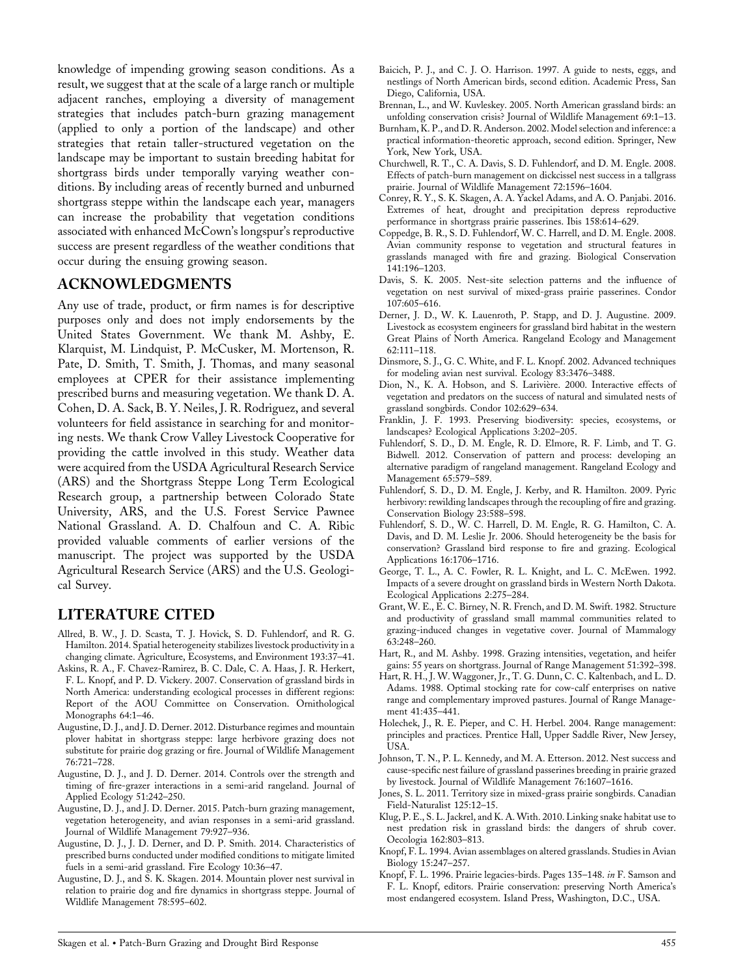knowledge of impending growing season conditions. As a result, we suggest that at the scale of a large ranch or multiple adjacent ranches, employing a diversity of management strategies that includes patch-burn grazing management (applied to only a portion of the landscape) and other strategies that retain taller-structured vegetation on the landscape may be important to sustain breeding habitat for shortgrass birds under temporally varying weather conditions. By including areas of recently burned and unburned shortgrass steppe within the landscape each year, managers can increase the probability that vegetation conditions associated with enhanced McCown's longspur's reproductive success are present regardless of the weather conditions that occur during the ensuing growing season.

# **ACKNOWLEDGMENTS**

Any use of trade, product, or firm names is for descriptive purposes only and does not imply endorsements by the United States Government. We thank M. Ashby, E. Klarquist, M. Lindquist, P. McCusker, M. Mortenson, R. Pate, D. Smith, T. Smith, J. Thomas, and many seasonal employees at CPER for their assistance implementing prescribed burns and measuring vegetation. We thank D. A. Cohen, D. A. Sack, B. Y. Neiles, J. R. Rodriguez, and several volunteers for field assistance in searching for and monitoring nests. We thank Crow Valley Livestock Cooperative for providing the cattle involved in this study. Weather data were acquired from the USDA Agricultural Research Service (ARS) and the Shortgrass Steppe Long Term Ecological Research group, a partnership between Colorado State University, ARS, and the U.S. Forest Service Pawnee National Grassland. A. D. Chalfoun and C. A. Ribic provided valuable comments of earlier versions of the manuscript. The project was supported by the USDA Agricultural Research Service (ARS) and the U.S. Geological Survey.

# **LITERATURE CITED**

- Allred, B. W., J. D. Scasta, T. J. Hovick, S. D. Fuhlendorf, and R. G. Hamilton. 2014. Spatial heterogeneity stabilizes livestock productivity in a changing climate. Agriculture, Ecosystems, and Environment 193:37–41.
- Askins, R. A., F. Chavez-Ramirez, B. C. Dale, C. A. Haas, J. R. Herkert, F. L. Knopf, and P. D. Vickery. 2007. Conservation of grassland birds in North America: understanding ecological processes in different regions: Report of the AOU Committee on Conservation. Ornithological Monographs 64:1–46.
- Augustine, D. J., and J. D. Derner. 2012. Disturbance regimes and mountain plover habitat in shortgrass steppe: large herbivore grazing does not substitute for prairie dog grazing or fire. Journal of Wildlife Management 76:721–728.
- Augustine, D. J., and J. D. Derner. 2014. Controls over the strength and timing of fire-grazer interactions in a semi-arid rangeland. Journal of Applied Ecology 51:242–250.
- Augustine, D. J., and J. D. Derner. 2015. Patch-burn grazing management, vegetation heterogeneity, and avian responses in a semi-arid grassland. Journal of Wildlife Management 79:927–936.
- Augustine, D. J., J. D. Derner, and D. P. Smith. 2014. Characteristics of prescribed burns conducted under modified conditions to mitigate limited fuels in a semi-arid grassland. Fire Ecology 10:36–47.
- Augustine, D. J., and S. K. Skagen. 2014. Mountain plover nest survival in relation to prairie dog and fire dynamics in shortgrass steppe. Journal of Wildlife Management 78:595–602.
- Baicich, P. J., and C. J. O. Harrison. 1997. A guide to nests, eggs, and nestlings of North American birds, second edition. Academic Press, San Diego, California, USA.
- Brennan, L., and W. Kuvleskey. 2005. North American grassland birds: an unfolding conservation crisis? Journal of Wildlife Management 69:1–13.
- Burnham, K. P., and D. R. Anderson. 2002. Model selection and inference: a practical information-theoretic approach, second edition. Springer, New York, New York, USA.
- Churchwell, R. T., C. A. Davis, S. D. Fuhlendorf, and D. M. Engle. 2008. Effects of patch-burn management on dickcissel nest success in a tallgrass prairie. Journal of Wildlife Management 72:1596–1604.
- Conrey, R. Y., S. K. Skagen, A. A. Yackel Adams, and A. O. Panjabi. 2016. Extremes of heat, drought and precipitation depress reproductive performance in shortgrass prairie passerines. Ibis 158:614–629.
- Coppedge, B. R., S. D. Fuhlendorf, W. C. Harrell, and D. M. Engle. 2008. Avian community response to vegetation and structural features in grasslands managed with fire and grazing. Biological Conservation 141:196–1203.
- Davis, S. K. 2005. Nest-site selection patterns and the influence of vegetation on nest survival of mixed-grass prairie passerines. Condor 107:605–616.
- Derner, J. D., W. K. Lauenroth, P. Stapp, and D. J. Augustine. 2009. Livestock as ecosystem engineers for grassland bird habitat in the western Great Plains of North America. Rangeland Ecology and Management 62:111–118.
- Dinsmore, S. J., G. C. White, and F. L. Knopf. 2002. Advanced techniques for modeling avian nest survival. Ecology 83:3476–3488.
- Dion, N., K. A. Hobson, and S. Larivière. 2000. Interactive effects of vegetation and predators on the success of natural and simulated nests of grassland songbirds. Condor 102:629–634.
- Franklin, J. F. 1993. Preserving biodiversity: species, ecosystems, or landscapes? Ecological Applications 3:202–205.
- Fuhlendorf, S. D., D. M. Engle, R. D. Elmore, R. F. Limb, and T. G. Bidwell. 2012. Conservation of pattern and process: developing an alternative paradigm of rangeland management. Rangeland Ecology and Management 65:579–589.
- Fuhlendorf, S. D., D. M. Engle, J. Kerby, and R. Hamilton. 2009. Pyric herbivory: rewilding landscapes through the recoupling of fire and grazing. Conservation Biology 23:588–598.
- Fuhlendorf, S. D., W. C. Harrell, D. M. Engle, R. G. Hamilton, C. A. Davis, and D. M. Leslie Jr. 2006. Should heterogeneity be the basis for conservation? Grassland bird response to fire and grazing. Ecological Applications 16:1706–1716.
- George, T. L., A. C. Fowler, R. L. Knight, and L. C. McEwen. 1992. Impacts of a severe drought on grassland birds in Western North Dakota. Ecological Applications 2:275–284.
- Grant, W. E., E. C. Birney, N. R. French, and D. M. Swift. 1982. Structure and productivity of grassland small mammal communities related to grazing-induced changes in vegetative cover. Journal of Mammalogy 63:248–260.
- Hart, R., and M. Ashby. 1998. Grazing intensities, vegetation, and heifer gains: 55 years on shortgrass. Journal of Range Management 51:392–398.
- Hart, R. H., J. W. Waggoner, Jr., T. G. Dunn, C. C. Kaltenbach, and L. D. Adams. 1988. Optimal stocking rate for cow-calf enterprises on native range and complementary improved pastures. Journal of Range Management 41:435–441.
- Holechek, J., R. E. Pieper, and C. H. Herbel. 2004. Range management: principles and practices. Prentice Hall, Upper Saddle River, New Jersey, USA.
- Johnson, T. N., P. L. Kennedy, and M. A. Etterson. 2012. Nest success and cause-specific nest failure of grassland passerines breeding in prairie grazed by livestock. Journal of Wildlife Management 76:1607–1616.
- Jones, S. L. 2011. Territory size in mixed-grass prairie songbirds. Canadian Field-Naturalist 125:12–15.
- Klug, P. E., S. L. Jackrel, and K. A. With. 2010. Linking snake habitat use to nest predation risk in grassland birds: the dangers of shrub cover. Oecologia 162:803–813.
- Knopf, F. L. 1994. Avian assemblages on altered grasslands. Studies in Avian Biology 15:247–257.
- Knopf, F. L. 1996. Prairie legacies-birds. Pages 135–148. *in* F. Samson and F. L. Knopf, editors. Prairie conservation: preserving North America's most endangered ecosystem. Island Press, Washington, D.C., USA.